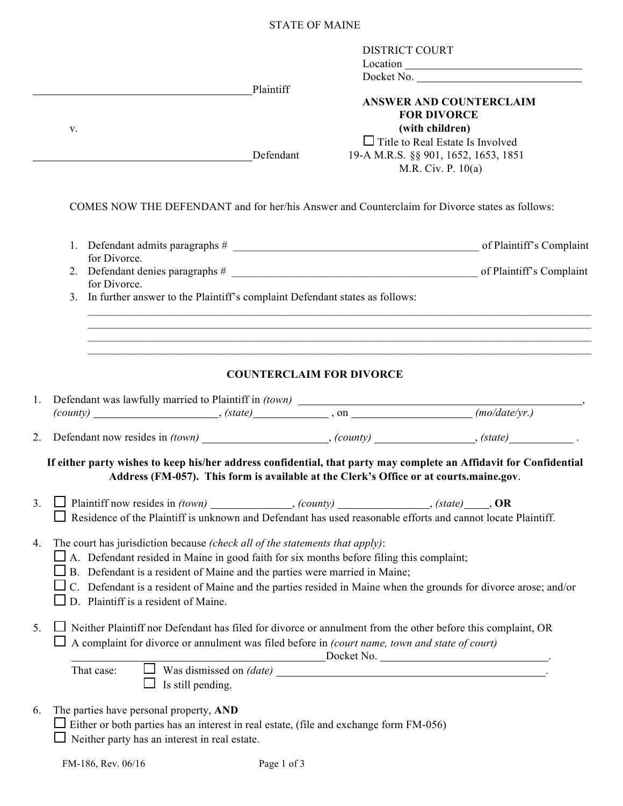## STATE OF MAINE

|    | V.                                                                                                                                                                                                                                                                                                                                                                                                                       | Plaintiff<br>Defendant          | <b>DISTRICT COURT</b> | Docket No.<br><b>ANSWER AND COUNTERCLAIM</b><br><b>FOR DIVORCE</b><br>(with children)<br>$\Box$ Title to Real Estate Is Involved<br>19-A M.R.S. §§ 901, 1652, 1653, 1851<br>M.R. Civ. P. 10(a) |  |
|----|--------------------------------------------------------------------------------------------------------------------------------------------------------------------------------------------------------------------------------------------------------------------------------------------------------------------------------------------------------------------------------------------------------------------------|---------------------------------|-----------------------|------------------------------------------------------------------------------------------------------------------------------------------------------------------------------------------------|--|
|    | COMES NOW THE DEFENDANT and for her/his Answer and Counterclaim for Divorce states as follows:                                                                                                                                                                                                                                                                                                                           |                                 |                       |                                                                                                                                                                                                |  |
|    | for Divorce.                                                                                                                                                                                                                                                                                                                                                                                                             |                                 |                       |                                                                                                                                                                                                |  |
|    | for Divorce.                                                                                                                                                                                                                                                                                                                                                                                                             |                                 |                       |                                                                                                                                                                                                |  |
|    | 3. In further answer to the Plaintiff's complaint Defendant states as follows:                                                                                                                                                                                                                                                                                                                                           |                                 |                       |                                                                                                                                                                                                |  |
|    |                                                                                                                                                                                                                                                                                                                                                                                                                          | <b>COUNTERCLAIM FOR DIVORCE</b> |                       |                                                                                                                                                                                                |  |
| 1. |                                                                                                                                                                                                                                                                                                                                                                                                                          |                                 |                       |                                                                                                                                                                                                |  |
| 2. |                                                                                                                                                                                                                                                                                                                                                                                                                          |                                 |                       |                                                                                                                                                                                                |  |
|    | If either party wishes to keep his/her address confidential, that party may complete an Affidavit for Confidential<br>Address (FM-057). This form is available at the Clerk's Office or at courts.maine.gov.                                                                                                                                                                                                             |                                 |                       |                                                                                                                                                                                                |  |
| 3. | Residence of the Plaintiff is unknown and Defendant has used reasonable efforts and cannot locate Plaintiff.                                                                                                                                                                                                                                                                                                             |                                 |                       |                                                                                                                                                                                                |  |
| 4. | The court has jurisdiction because (check all of the statements that apply):<br>$\Box$ A. Defendant resided in Maine in good faith for six months before filing this complaint;<br>B. Defendant is a resident of Maine and the parties were married in Maine;<br>C. Defendant is a resident of Maine and the parties resided in Maine when the grounds for divorce arose; and/or<br>D. Plaintiff is a resident of Maine. |                                 |                       |                                                                                                                                                                                                |  |
| 5. | Neither Plaintiff nor Defendant has filed for divorce or annulment from the other before this complaint, OR<br>A complaint for divorce or annulment was filed before in (court name, town and state of court)<br>That case:                                                                                                                                                                                              |                                 |                       | <u>Docket No.</u>                                                                                                                                                                              |  |
|    | Is still pending.                                                                                                                                                                                                                                                                                                                                                                                                        |                                 |                       |                                                                                                                                                                                                |  |
| 6. | The parties have personal property, AND<br>Either or both parties has an interest in real estate, (file and exchange form FM-056)<br>Neither party has an interest in real estate.                                                                                                                                                                                                                                       |                                 |                       |                                                                                                                                                                                                |  |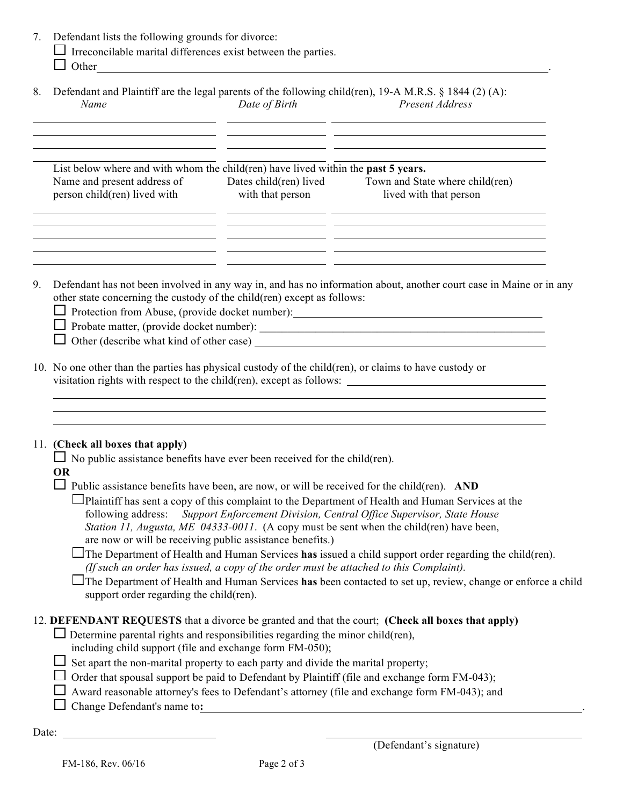|  | 7. Defendant lists the following grounds for divorce: |  |  |  |  |  |
|--|-------------------------------------------------------|--|--|--|--|--|
|--|-------------------------------------------------------|--|--|--|--|--|

 $\Box$  Irreconcilable marital differences exist between the parties.

|   | Other |  |
|---|-------|--|
| _ |       |  |

|      | 8. Defendant and Plaintiff are the legal parents of the following child(ren), 19-A M.R.S. § 1844 (2) (A): |                 |
|------|-----------------------------------------------------------------------------------------------------------|-----------------|
| Name | Date of Birth                                                                                             | Present Address |

| List below where and with whom the child (ren) have lived within the past 5 years. |                        |                                 |
|------------------------------------------------------------------------------------|------------------------|---------------------------------|
| Name and present address of                                                        | Dates child(ren) lived | Town and State where child(ren) |
| person child(ren) lived with                                                       | with that person       | lived with that person          |

9. Defendant has not been involved in any way in, and has no information about, another court case in Maine or in any other state concerning the custody of the child(ren) except as follows:

□ Protection from Abuse, (provide docket number):

| $\Box$ Probate matter, (provide docket number): |
|-------------------------------------------------|
|-------------------------------------------------|

 $\Box$  Other (describe what kind of other case)

10. No one other than the parties has physical custody of the child(ren), or claims to have custody or visitation rights with respect to the child(ren), except as follows:

<u> 1980 - Johann Barbara, martxa al</u>

## 11. **(Check all boxes that apply)**

 $\Box$  No public assistance benefits have ever been received for the child(ren).

## **OR**

 $\Box$  Public assistance benefits have been, are now, or will be received for the child(ren). **AND** 

- **Plaintiff has sent a copy of this complaint to the Department of Health and Human Services at the** following address: *Support Enforcement Division, Central Office Supervisor, State House Station 11, Augusta, ME 04333-0011*. (A copy must be sent when the child(ren) have been, are now or will be receiving public assistance benefits.)
- The Department of Health and Human Services **has** issued a child support order regarding the child(ren). *(If such an order has issued, a copy of the order must be attached to this Complaint).*

The Department of Health and Human Services **has** been contacted to set up, review, change or enforce a child support order regarding the child(ren).

## 12. **DEFENDANT REQUESTS** that a divorce be granted and that the court; **(Check all boxes that apply)**

- $\Box$  Determine parental rights and responsibilities regarding the minor child(ren), including child support (file and exchange form FM-050);
- $\Box$  Set apart the non-marital property to each party and divide the marital property;
- $\Box$  Order that spousal support be paid to Defendant by Plaintiff (file and exchange form FM-043);
- $\Box$  Award reasonable attorney's fees to Defendant's attorney (file and exchange form FM-043); and
- □ Change Defendant's name to:

Date: